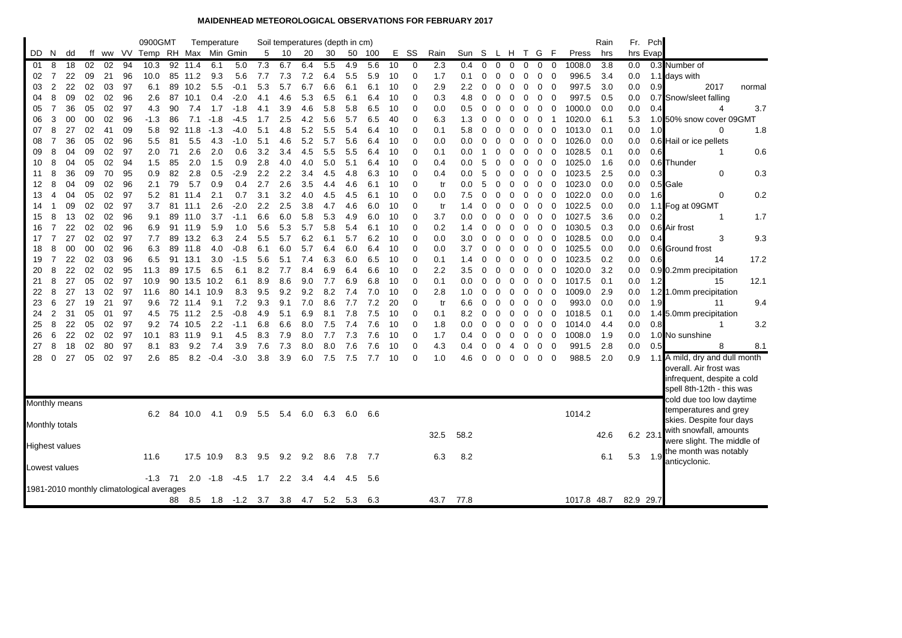## **MAIDENHEAD METEOROLOGICAL OBSERVATIONS FOR FEBRUARY 2017**

|                |                |                       |          |          |          | 0900GMT                                   |          |              | Temperature |            |            |               | Soil temperatures (depth in cm) |            |            |            |          |                      |            |            |          |             |           |              |                         |        |                  | Rain       |            | Fr. Pch  |                                       |
|----------------|----------------|-----------------------|----------|----------|----------|-------------------------------------------|----------|--------------|-------------|------------|------------|---------------|---------------------------------|------------|------------|------------|----------|----------------------|------------|------------|----------|-------------|-----------|--------------|-------------------------|--------|------------------|------------|------------|----------|---------------------------------------|
| DD.            | N              | dd                    |          |          |          | ff ww VV Temp RH Max Min Gmin             |          |              |             |            | 5          | 10            | 20                              | 30         |            | 50 100     |          | E SS                 | Rain       | Sun S      |          |             | L H T G F |              |                         |        | Press            | hrs        |            | hrs Evap |                                       |
| -01            | 8              | 18                    | 02       | 02       | 94       | 10.3                                      | 92       | 11.4         | 6.1         | 5.0        | 7.3        | 6.7           | 6.4                             | 5.5        | 4.9        | 5.6        | 10       | 0                    | 2.3        | 0.4        | $\Omega$ | $\mathbf 0$ | $\Omega$  | $\mathbf{0}$ | $\mathbf 0$             | 0      | 1008.0           | 3.8        | 0.0        |          | 0.3 Number of                         |
| 02             | 7              | 22                    | 09       | 21       | 96       | 10.0                                      | 85       | 11.2         | 9.3         | 5.6        | 7.7        | 7.3           | 7.2                             | 6.4        | 5.5        | 5.9        | 10       | $\Omega$             | 1.7        | 0.1        | 0        | 0           | 0         | 0            | 0                       | 0      | 996.5            | 3.4        | 0.0        |          | 1.1 days with                         |
| 03             | $\overline{2}$ | 22                    | 02       | 03       | 97       | 6.1                                       | 89       | 10.2         | 5.5         | $-0.1$     | 5.3        | 5.7           | 6.7                             | 6.6        | 6.1        | 6.1        | 10       | $\Omega$             | 2.9        | 2.2        | 0        | 0           | 0         | 0            | 0                       | 0      | 997.5            | 3.0        | 0.0        | 0.9      | 2017<br>normal                        |
| 04             | 8              | 09                    | 02       | 02       | 96       | 2.6                                       | 87       | 10.1         | 0.4         | $-2.0$     | 4.1        | 4.6           | 5.3                             | 6.5        | 6.1        | 6.4        | 10       | $\Omega$             | 0.3        | 4.8        | 0        | 0           | 0         | 0            | 0                       | 0      | 997.5            | 0.5        | 0.0        |          | 0.7 Snow/sleet falling                |
| 05             | $\overline{7}$ | 36                    | 05       | 02       | 97       | 4.3                                       | 90       | 7.4          | 1.7         | $-1.8$     | 4.1        | 3.9           | 4.6                             | 5.8        | 5.8        | 6.5        | 10       | $\Omega$             | 0.0        | 0.5        | 0        | 0           | 0         | 0            | 0                       | 0      | 1000.0           | 0.0        | 0.0        | 0.4      | 3.7<br>4                              |
| 06             | 3              | 00                    | 00       | 02       | 96       | $-1.3$                                    | 86       | 7.1          | $-1.8$      | -4.5       | 1.7        | 2.5           | 4.2                             | 5.6        | 5.7        | 6.5        | 40       | $\Omega$             | 6.3        | 1.3        | 0        | 0           | 0         | 0            | 0                       | -1     | 1020.0           | 6.1        | 5.3        |          | 1.0 50% snow cover 09GMT              |
| 07             | 8              | 27                    | 02       | 41       | 09       | 5.8                                       | 92       | 11.8         | $-1.3$      | -4.0       | 5.1        | 4.8           | 5.2                             | 5.5        | 5.4        | 6.4        | 10       | $\Omega$             | 0.1        | 5.8        | 0        | 0           | 0         | 0            | 0                       | 0      | 1013.0           | 0.1        | 0.0        | 1.0      | 1.8<br>0                              |
| 08             | $\overline{7}$ | 36                    | 05       | 02       | 96       | 5.5                                       | 81       | 5.5          | 4.3         | $-1.0$     | 5.1        | 4.6           | 5.2                             | 5.7        | 5.6        | 6.4        | 10       | $\Omega$             | 0.0        | 0.0        | 0        | 0           | 0         | 0            | 0                       | 0      | 1026.0           | 0.0        | 0.0        |          | 0.6 Hail or ice pellets               |
| 09             | 8              | 04                    | 09       | 02       | 97       | 2.0                                       | 71       | 2.6          | 2.0         | 0.6        | 3.2        | 3.4           | 4.5                             | 5.5        | 5.5        | 6.4        | 10       | $\Omega$             | 0.1        | 0.0        | 1        | 0           | 0         | 0            | $\mathbf 0$             | 0      | 1028.5           | 0.1        | 0.0        | 0.6      | 0.6<br>1                              |
| 10             | 8              | 04                    | 05       | 02       | 94       | 1.5                                       | 85       | 2.0          | 1.5         | 0.9        | 2.8        | 4.0           | 4.0                             | 5.0        | 5.1        | 6.4        | 10       | $\Omega$             | 0.4        | 0.0        | 5        | 0           | 0         | 0            | 0                       | 0      | 1025.0           | 1.6        | 0.0        |          | 0.6 Thunder                           |
| 11             | 8              | 36                    | 09       | 70       | 95       | 0.9                                       | 82       | 2.8          | 0.5         | $-2.9$     | 2.2        | 2.2           | 3.4                             | 4.5        | 4.8        | 6.3        | 10       | $\Omega$             | 0.4        | 0.0        | 5        | 0           | 0         | 0            | $\mathbf 0$             | 0      | 1023.5           | 2.5        | 0.0        | 0.3      | 0.3<br>0                              |
| 12             | 8              | 04                    | 09       | 02       | 96       | 2.1                                       | 79       | 5.7          | 0.9         | 0.4        | 2.7        | 2.6           | 3.5                             | 4.4        | 4.6        | 6.1        | 10       | 0                    | tr         | 0.0        | 5        | 0           | 0         | 0            | 0                       | 0      | 1023.0           | 0.0        | 0.0        |          | 0.5 Gale                              |
| 13             | $\overline{4}$ | 04                    | 05       | 02       | 97       | 5.2                                       | 81       | 11.4         | 2.1         | 0.7        | 3.1        | 3.2           | 4.0                             | 4.5        | 4.5        | 6.1        | 10       | $\Omega$             | 0.0        | 7.5        | 0        | 0           | 0         | 0            | 0                       | 0      | 1022.0           | 0.0        | 0.0        | 1.6      | 0.2<br>0                              |
| 14             | -1             | 09                    | 02       | 02       | 97       | 3.7                                       | 81       | 11.1         | 2.6         | $-2.0$     | 2.2        | 2.5           | 3.8                             | 4.7        | 4.6        | 6.0        | 10       | 0                    | tr         | 1.4        | 0        | 0           | 0         | 0            | 0                       | 0      | 1022.5           | 0.0        | 0.0        |          | 1.1 Fog at 09GMT                      |
| 15             | 8              | 13                    | 02       | 02       | 96       | 9.1                                       | 89       | 11.0         | 3.7         | $-1.1$     | 6.6        | 6.0           | 5.8                             | 5.3        | 4.9        | 6.0        | 10       | $\Omega$             | 3.7        | 0.0        | 0        | 0           | 0         | 0            | 0                       | 0      | 1027.5           | 3.6        | 0.0        | 0.2      | 1.7<br>1                              |
| 16             | $\overline{7}$ | 22                    | 02       | 02       | 96       | 6.9                                       |          | 91 11.9      | 5.9         | 1.0        | 5.6        | 5.3           | 5.7                             | 5.8        | 5.4        | 6.1        | 10       | $\Omega$             | 0.2        | 1.4        | 0        | 0           | 0         | 0            | $\mathbf 0$             | 0      | 1030.5           | 0.3        | 0.0        |          | 0.6 Air frost                         |
| 17             | $\overline{7}$ | 27                    | 02       | 02       | 97       | 7.7                                       | 89       | 13.2         | 6.3         | 2.4        | 5.5        | 5.7           | 6.2                             | 6.1        | 5.7        | 6.2        | 10       | 0                    | 0.0        | 3.0        | 0        | 0           | 0         | 0            | 0                       | 0      | 1028.5           | 0.0        | 0.0        | 0.4      | 3<br>9.3                              |
| 18             | 8              | 00                    | 00       | 02       | 96       | 6.3                                       | 89       | 11.8         | 4.0         | $-0.8$     | 6.1        | 6.0           | 5.7                             | 6.4        | 6.0        | 6.4        | 10       | $\Omega$             | 0.0        | 3.7        | 0        | 0           | 0         | 0            | $\overline{\mathbf{0}}$ | 0      | 1025.5           | 0.0        | 0.0        |          | 0.6 Ground frost                      |
| 19             | 7<br>8         | 22<br>22              | 02<br>02 | 03       | 96<br>95 | 6.5                                       | 91<br>89 | 13.1         | 3.0         | $-1.5$     | 5.6<br>8.2 | 5.1<br>7.7    | 7.4<br>8.4                      | 6.3<br>6.9 | 6.0        | 6.5        | 10       | $\Omega$<br>$\Omega$ | 0.1<br>2.2 | 1.4        | 0        | 0           | 0         | 0            | $\mathbf 0$             | 0      | 1023.5<br>1020.0 | 0.2<br>3.2 | 0.0        | 0.6      | 17.2<br>14                            |
| 20<br>21       | 8              | 27                    | 05       | 02<br>02 | 97       | 11.3<br>10.9                              | 90       | 17.5<br>13.5 | 6.5<br>10.2 | 6.1<br>6.1 | 8.9        | 8.6           | 9.0                             | 7.7        | 6.4<br>6.9 | 6.6<br>6.8 | 10<br>10 | 0                    | 0.1        | 3.5        | 0<br>0   | 0<br>0      | 0<br>0    | 0            | 0                       | 0      | 1017.5           | 0.1        | 0.0<br>0.0 | 1.2      | 0.9 0.2mm precipitation<br>12.1<br>15 |
| 22             | 8              | 27                    | 13       | 02       | 97       | 11.6                                      | 80       | 14.1         | 10.9        | 8.3        | 9.5        | 9.2           | 9.2                             | 8.2        | 7.4        | 7.0        | 10       | $\Omega$             | 2.8        | 0.0<br>1.0 | 0        | 0           | 0         | 0<br>0       | 0<br>0                  | 0<br>0 | 1009.0           | 2.9        | 0.0        |          | 1.2 1.0mm precipitation               |
| 23             | 6              | 27                    | 19       | 21       | 97       | 9.6                                       | 72       | 11.4         | 9.1         | 7.2        | 9.3        | 9.1           | 7.0                             | 8.6        | 7.7        | 7.2        | 20       | $\Omega$             | tr         | 6.6        | 0        | 0           | 0         | 0            | 0                       | 0      | 993.0            | 0.0        | 0.0        | 1.9      | 9.4<br>11                             |
| 24             | $\overline{2}$ | 31                    | 05       | 01       | 97       | 4.5                                       | 75       | 11.2         | 2.5         | $-0.8$     | 4.9        | 5.1           | 6.9                             | 8.1        | 7.8        | 7.5        | 10       | $\Omega$             | 0.1        | 8.2        | 0        | 0           | 0         | 0            | 0                       | 0      | 1018.5           | 0.1        | 0.0        |          | 1.4 5.0mm precipitation               |
| 25             | 8              | 22                    | 05       | 02       | 97       | 9.2                                       | 74       | 10.5         | 2.2         | $-1.1$     | 6.8        | 6.6           | 8.0                             | 7.5        | 7.4        | 7.6        | 10       | $\Omega$             | 1.8        | 0.0        | 0        | 0           | 0         | 0            | 0                       | 0      | 1014.0           | 4.4        | 0.0        | 0.8      | 3.2<br>1                              |
| 26             | 6              | 22                    | 02       | 02       | 97       | 10.1                                      | 83       | 11.9         | 9.1         | 4.5        | 8.3        | 7.9           | 8.0                             | 7.7        | 7.3        | 7.6        | 10       | $\Omega$             | 1.7        | 0.4        | 0        | 0           | 0         | 0            | 0                       | 0      | 1008.0           | 1.9        | 0.0        |          | 1.0 No sunshine                       |
| 27             | 8              | 18                    | 02       | 80       | 97       | 8.1                                       | 83       | 9.2          | 7.4         | 3.9        | 7.6        | 7.3           | 8.0                             | 8.0        | 7.6        | 7.6        | 10       | $\Omega$             | 4.3        | 0.4        | 0        | 0           | 4         | 0            | 0                       | 0      | 991.5            | 2.8        | 0.0        | 0.5      | 8<br>8.1                              |
| 28             | $\Omega$       | 27                    | 05       | 02       | 97       | 2.6                                       | 85       | 8.2          | $-0.4$      | -3.0       | 3.8        | 3.9           | 6.0                             | 7.5        | 7.5        | 7.7        | 10       | $\Omega$             | 1.0        | 4.6        | 0        | 0           | 0         | 0            | 0                       | 0      | 988.5            | 2.0        | 0.9        |          | 1.1 A mild, dry and dull month        |
|                |                |                       |          |          |          |                                           |          |              |             |            |            |               |                                 |            |            |            |          |                      |            |            |          |             |           |              |                         |        |                  |            |            |          | overall. Air frost was                |
|                |                |                       |          |          |          |                                           |          |              |             |            |            |               |                                 |            |            |            |          |                      |            |            |          |             |           |              |                         |        |                  |            |            |          | infrequent, despite a cold            |
|                |                |                       |          |          |          |                                           |          |              |             |            |            |               |                                 |            |            |            |          |                      |            |            |          |             |           |              |                         |        |                  |            |            |          | spell 8th-12th - this was             |
|                |                | Monthly means         |          |          |          |                                           |          |              |             |            |            |               |                                 |            |            |            |          |                      |            |            |          |             |           |              |                         |        |                  |            |            |          | cold due too low daytime              |
|                |                |                       |          |          |          | 6.2                                       |          | 84 10.0      | 4.1         | 0.9        | 5.5        | 5.4           | 6.0                             | 6.3        | 6.0        | 6.6        |          |                      |            |            |          |             |           |              |                         |        | 1014.2           |            |            |          | temperatures and grey                 |
| Monthly totals |                |                       |          |          |          |                                           |          |              |             |            |            |               |                                 |            |            |            |          |                      |            |            |          |             |           |              |                         |        |                  |            |            |          | skies. Despite four days              |
|                |                |                       |          |          |          |                                           |          |              |             |            |            |               |                                 |            |            |            |          |                      | 32.5       | 58.2       |          |             |           |              |                         |        |                  | 42.6       |            | 6.2 23.1 | with snowfall, amounts                |
|                |                | <b>Highest values</b> |          |          |          |                                           |          |              |             |            |            |               |                                 |            |            |            |          |                      |            |            |          |             |           |              |                         |        |                  |            |            |          | were slight. The middle of            |
|                |                |                       |          |          |          | 11.6                                      |          |              | 17.5 10.9   | 8.3        | 9.5        | 9.2           | 9.2                             | 8.6        | 7.8        | 7.7        |          |                      | 6.3        | 8.2        |          |             |           |              |                         |        |                  | 6.1        | 5.3        | 1.9      | the month was notably                 |
|                |                | Lowest values         |          |          |          |                                           |          |              |             |            |            |               |                                 |            |            |            |          |                      |            |            |          |             |           |              |                         |        |                  |            |            |          | anticyclonic.                         |
|                |                |                       |          |          |          | $-1.3$                                    | 71       |              | $2.0 - 1.8$ | -4.5       | 1.7        | $2.2^{\circ}$ | 3.4                             | 4.4        | 4.5        | 5.6        |          |                      |            |            |          |             |           |              |                         |        |                  |            |            |          |                                       |
|                |                |                       |          |          |          | 1981-2010 monthly climatological averages |          |              |             |            |            |               |                                 |            |            |            |          |                      |            |            |          |             |           |              |                         |        |                  |            |            |          |                                       |
|                |                |                       |          |          |          |                                           | 88       | 8.5          | $1.8 - 1.2$ |            | 3.7        | 3.8           | 4.7                             | 5.2        | 5.3        | 6.3        |          |                      | 43.7       | 77.8       |          |             |           |              |                         |        | 1017.8 48.7      |            | 82.9 29.7  |          |                                       |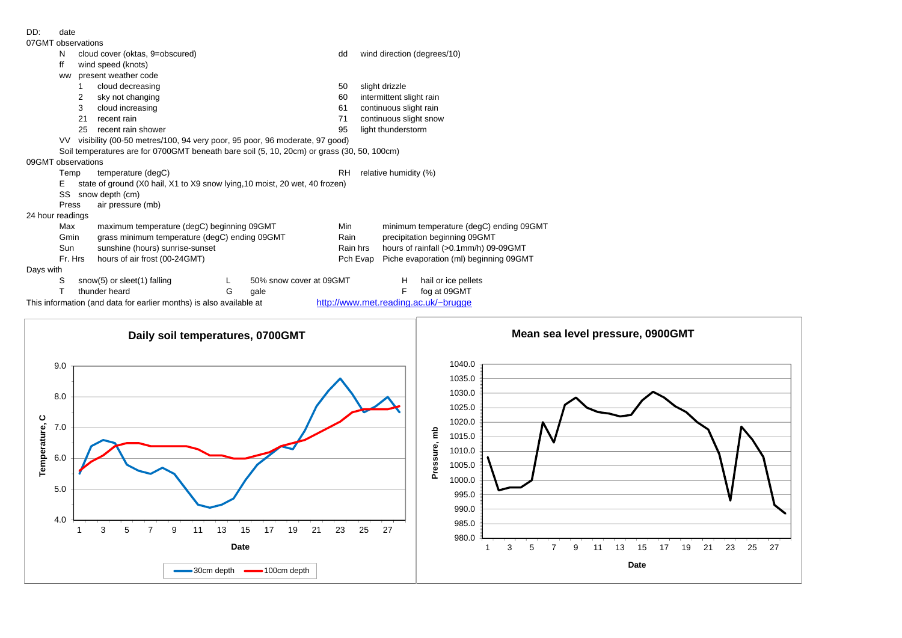| 07GMT observations |                                                                                                             |                                                                                            |                                                                             |   |                         |           |                          |                                         |                             |  |  |  |  |  |  |
|--------------------|-------------------------------------------------------------------------------------------------------------|--------------------------------------------------------------------------------------------|-----------------------------------------------------------------------------|---|-------------------------|-----------|--------------------------|-----------------------------------------|-----------------------------|--|--|--|--|--|--|
|                    | N                                                                                                           |                                                                                            | cloud cover (oktas, 9=obscured)                                             |   |                         | dd        |                          |                                         | wind direction (degrees/10) |  |  |  |  |  |  |
|                    | ff                                                                                                          |                                                                                            | wind speed (knots)                                                          |   |                         |           |                          |                                         |                             |  |  |  |  |  |  |
|                    | ww                                                                                                          |                                                                                            | present weather code                                                        |   |                         |           |                          |                                         |                             |  |  |  |  |  |  |
|                    |                                                                                                             |                                                                                            | cloud decreasing                                                            |   |                         | 50        | slight drizzle           |                                         |                             |  |  |  |  |  |  |
|                    |                                                                                                             | 2                                                                                          | sky not changing                                                            |   |                         | 60        | intermittent slight rain |                                         |                             |  |  |  |  |  |  |
|                    |                                                                                                             | 3<br>cloud increasing                                                                      |                                                                             |   |                         | 61        |                          | continuous slight rain                  |                             |  |  |  |  |  |  |
|                    |                                                                                                             | 21                                                                                         | recent rain                                                                 |   |                         | 71        |                          | continuous slight snow                  |                             |  |  |  |  |  |  |
|                    |                                                                                                             | 25                                                                                         | recent rain shower                                                          |   |                         | 95        |                          | light thunderstorm                      |                             |  |  |  |  |  |  |
|                    | VV l                                                                                                        | visibility (00-50 metres/100, 94 very poor, 95 poor, 96 moderate, 97 good)                 |                                                                             |   |                         |           |                          |                                         |                             |  |  |  |  |  |  |
|                    |                                                                                                             | Soil temperatures are for 0700GMT beneath bare soil (5, 10, 20cm) or grass (30, 50, 100cm) |                                                                             |   |                         |           |                          |                                         |                             |  |  |  |  |  |  |
| 09GMT observations |                                                                                                             |                                                                                            |                                                                             |   |                         |           |                          |                                         |                             |  |  |  |  |  |  |
|                    | Temp                                                                                                        |                                                                                            | temperature (degC)                                                          |   |                         | <b>RH</b> | relative humidity (%)    |                                         |                             |  |  |  |  |  |  |
|                    | Е                                                                                                           |                                                                                            | state of ground (X0 hail, X1 to X9 snow lying, 10 moist, 20 wet, 40 frozen) |   |                         |           |                          |                                         |                             |  |  |  |  |  |  |
|                    | SS                                                                                                          |                                                                                            | snow depth (cm)                                                             |   |                         |           |                          |                                         |                             |  |  |  |  |  |  |
|                    | Press                                                                                                       |                                                                                            | air pressure (mb)                                                           |   |                         |           |                          |                                         |                             |  |  |  |  |  |  |
| 24 hour readings   |                                                                                                             |                                                                                            |                                                                             |   |                         |           |                          |                                         |                             |  |  |  |  |  |  |
|                    | Max                                                                                                         |                                                                                            | maximum temperature (degC) beginning 09GMT                                  |   |                         | Min       |                          | minimum temperature (degC) ending 09GMT |                             |  |  |  |  |  |  |
|                    | Gmin                                                                                                        |                                                                                            | grass minimum temperature (degC) ending 09GMT                               |   |                         | Rain      |                          | precipitation beginning 09GMT           |                             |  |  |  |  |  |  |
|                    | Sun                                                                                                         |                                                                                            | sunshine (hours) sunrise-sunset                                             |   |                         | Rain hrs  |                          | hours of rainfall (>0.1mm/h) 09-09GMT   |                             |  |  |  |  |  |  |
|                    | Fr. Hrs                                                                                                     |                                                                                            | hours of air frost (00-24GMT)                                               |   |                         |           | Pch Evap                 | Piche evaporation (ml) beginning 09GMT  |                             |  |  |  |  |  |  |
| Days with          |                                                                                                             |                                                                                            |                                                                             |   |                         |           |                          |                                         |                             |  |  |  |  |  |  |
|                    | S                                                                                                           |                                                                                            | snow(5) or sleet(1) falling                                                 |   | 50% snow cover at 09GMT |           |                          | H                                       | hail or ice pellets         |  |  |  |  |  |  |
|                    |                                                                                                             |                                                                                            | thunder heard                                                               | G | gale                    |           |                          | F                                       | fog at 09GMT                |  |  |  |  |  |  |
|                    | http://www.met.reading.ac.uk/~brugge<br>This information (and data for earlier months) is also available at |                                                                                            |                                                                             |   |                         |           |                          |                                         |                             |  |  |  |  |  |  |